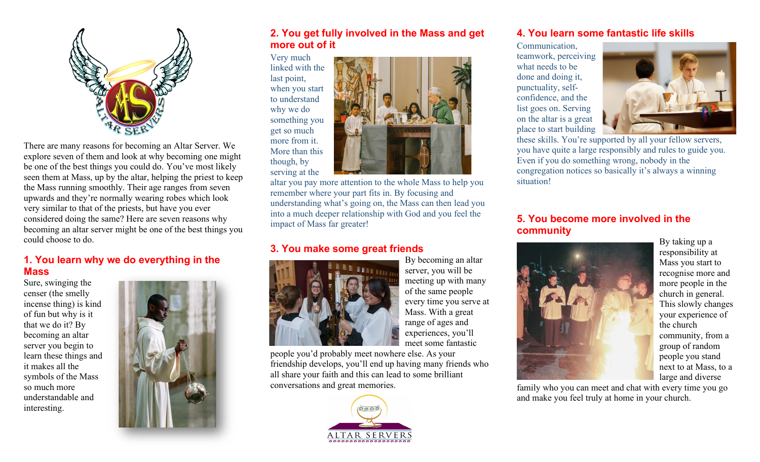

There are many reasons for becoming an Altar Server. We explore seven of them and look at why becoming one might be one of the best things you could do. You've most likely seen them at Mass, up by the altar, helping the priest to keep the Mass running smoothly. Their age ranges from seven upwards and they're normally wearing robes which look very similar to that of the priests, but have you ever considered doing the same? Here are seven reasons why becoming an altar server might be one of the best things you could choose to do.

# **1. You learn why we do everything in the Mass**

Sure, swinging the censer (the smelly incense thing) is kind of fun but why is it that we do it? By becoming an altar server you begin to learn these things and it makes all the symbols of the Mass so much more understandable and interesting.



## **2. You get fully involved in the Mass and get more out of it**

Very much linked with the last point, when you start to understand why we do something you get so much more from it. More than this though, by serving at the



altar you pay more attention to the whole Mass to help you remember where your part fits in. By focusing and understanding what's going on, the Mass can then lead you into a much deeper relationship with God and you feel the impact of Mass far greater!

## **3. You make some great friends**



By becoming an altar server, you will be meeting up with many of the same people every time you serve at Mass. With a great range of ages and experiences, you'll meet some fantastic

people you'd probably meet nowhere else. As your friendship develops, you'll end up having many friends who all share your faith and this can lead to some brilliant conversations and great memories.



#### **4. You learn some fantastic life skills**

Communication, teamwork, perceiving what needs to be done and doing it, punctuality, selfconfidence, and the list goes on. Serving on the altar is a great place to start building



these skills. You're supported by all your fellow servers, you have quite a large responsibly and rules to guide you. Even if you do something wrong, nobody in the congrega[tion](https://dowym.com/wp-content/uploads/2016/01/Altar-servers-3.jpg) notices so basically it's always a winning situation!

#### **5. You become more involved in the community**



By taking up a responsibility at Mass you start to recognise more and more people in the church in general. This slowly changes your experience of the church community, from a group of random people you stand next to at Mass, to a large and diverse

family who you can meet and chat with every time you go and make you feel truly at home in your church.